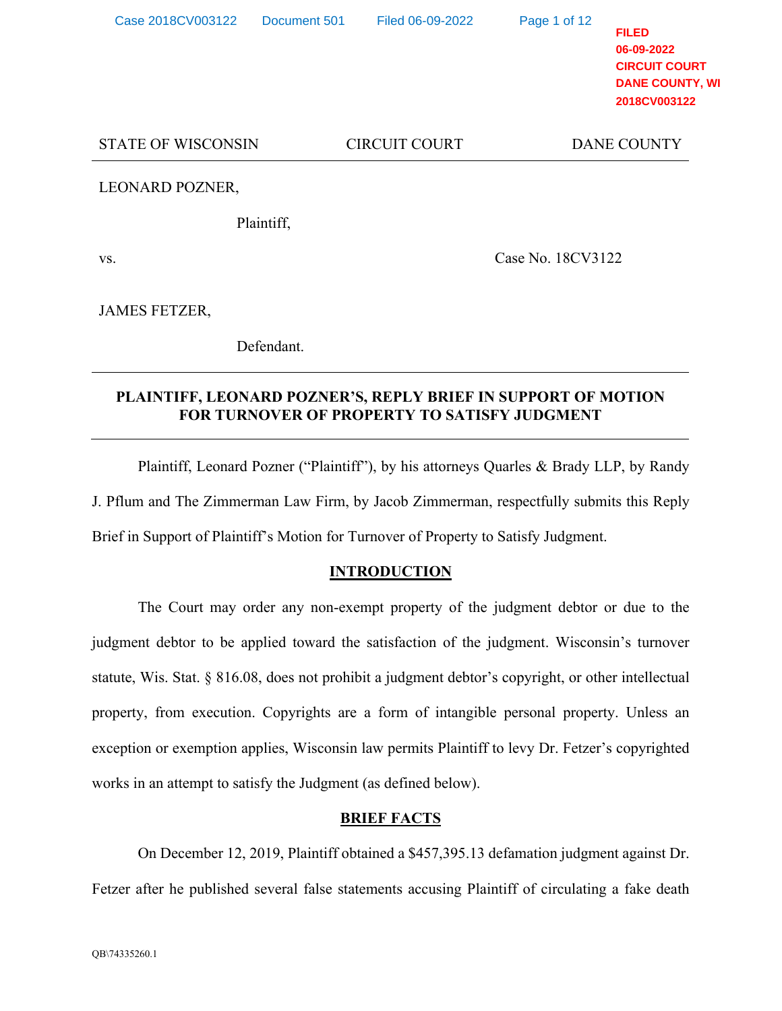| Case 2018CV003122         | Document 501 | Filed 06-09-2022     | Page 1 of 12      | <b>FILED</b><br>06-09-2022<br><b>CIRCUIT COURT</b><br><b>DANE COUNTY, WI</b><br>2018CV003122 |
|---------------------------|--------------|----------------------|-------------------|----------------------------------------------------------------------------------------------|
| <b>STATE OF WISCONSIN</b> |              | <b>CIRCUIT COURT</b> |                   | <b>DANE COUNTY</b>                                                                           |
| LEONARD POZNER,           |              |                      |                   |                                                                                              |
|                           | Plaintiff,   |                      |                   |                                                                                              |
| VS.                       |              |                      | Case No. 18CV3122 |                                                                                              |

JAMES FETZER,

Defendant.

# **PLAINTIFF, LEONARD POZNER'S, REPLY BRIEF IN SUPPORT OF MOTION FOR TURNOVER OF PROPERTY TO SATISFY JUDGMENT**

 Plaintiff, Leonard Pozner ("Plaintiff"), by his attorneys Quarles & Brady LLP, by Randy J. Pflum and The Zimmerman Law Firm, by Jacob Zimmerman, respectfully submits this Reply Brief in Support of Plaintiff's Motion for Turnover of Property to Satisfy Judgment.

# **INTRODUCTION**

 The Court may order any non-exempt property of the judgment debtor or due to the judgment debtor to be applied toward the satisfaction of the judgment. Wisconsin's turnover statute, Wis. Stat. § 816.08, does not prohibit a judgment debtor's copyright, or other intellectual property, from execution. Copyrights are a form of intangible personal property. Unless an exception or exemption applies, Wisconsin law permits Plaintiff to levy Dr. Fetzer's copyrighted works in an attempt to satisfy the Judgment (as defined below).

# **BRIEF FACTS**

 On December 12, 2019, Plaintiff obtained a \$457,395.13 defamation judgment against Dr. Fetzer after he published several false statements accusing Plaintiff of circulating a fake death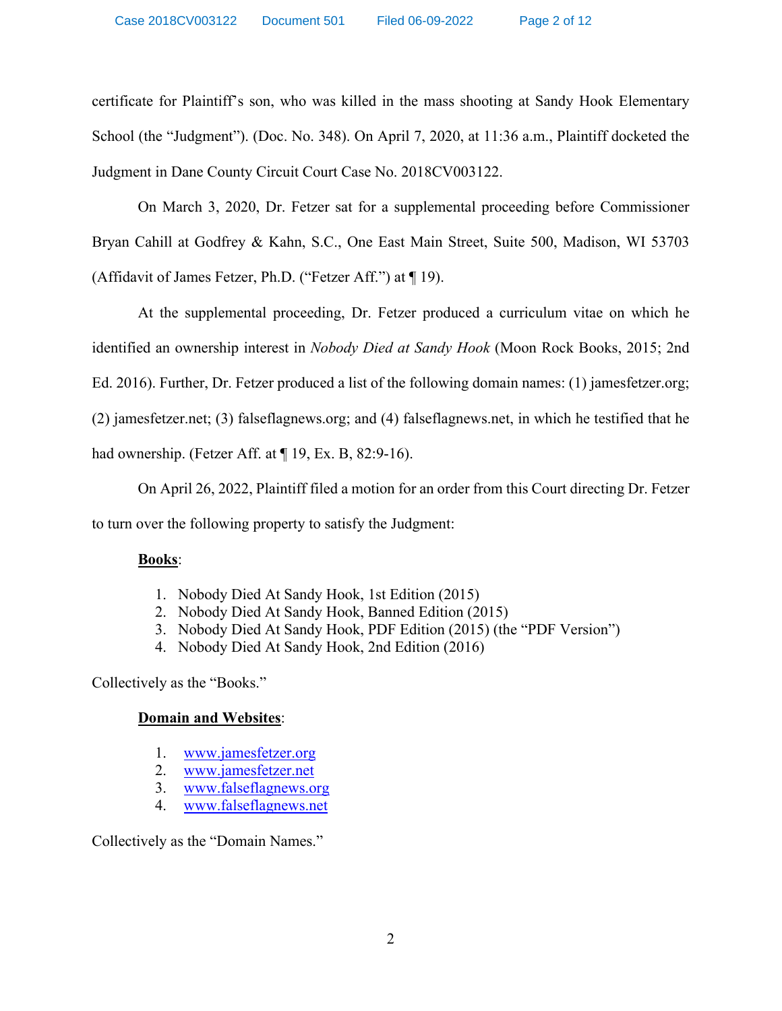certificate for Plaintiff's son, who was killed in the mass shooting at Sandy Hook Elementary School (the "Judgment"). (Doc. No. 348). On April 7, 2020, at 11:36 a.m., Plaintiff docketed the Judgment in Dane County Circuit Court Case No. 2018CV003122.

 On March 3, 2020, Dr. Fetzer sat for a supplemental proceeding before Commissioner Bryan Cahill at Godfrey & Kahn, S.C., One East Main Street, Suite 500, Madison, WI 53703 (Affidavit of James Fetzer, Ph.D. ("Fetzer Aff.") at ¶ 19).

 At the supplemental proceeding, Dr. Fetzer produced a curriculum vitae on which he identified an ownership interest in *Nobody Died at Sandy Hook* (Moon Rock Books, 2015; 2nd Ed. 2016). Further, Dr. Fetzer produced a list of the following domain names: (1) jamesfetzer.org; (2) jamesfetzer.net; (3) falseflagnews.org; and (4) falseflagnews.net, in which he testified that he had ownership. (Fetzer Aff. at ¶ 19, Ex. B, 82:9-16).

 On April 26, 2022, Plaintiff filed a motion for an order from this Court directing Dr. Fetzer to turn over the following property to satisfy the Judgment:

# **Books**:

- 1. Nobody Died At Sandy Hook, 1st Edition (2015)
- 2. Nobody Died At Sandy Hook, Banned Edition (2015)
- 3. Nobody Died At Sandy Hook, PDF Edition (2015) (the "PDF Version")
- 4. Nobody Died At Sandy Hook, 2nd Edition (2016)

Collectively as the "Books."

# **Domain and Websites**:

- 1. www.jamesfetzer.org
- 2. www.jamesfetzer.net
- 3. www.falseflagnews.org
- 4. www.falseflagnews.net

Collectively as the "Domain Names."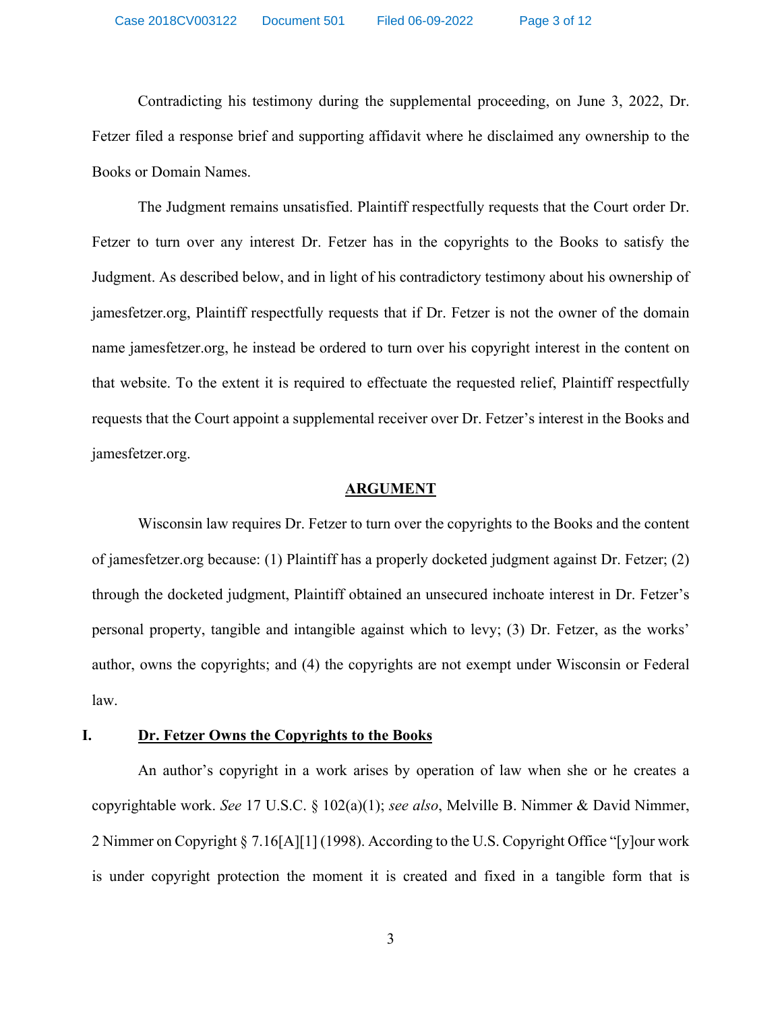Contradicting his testimony during the supplemental proceeding, on June 3, 2022, Dr. Fetzer filed a response brief and supporting affidavit where he disclaimed any ownership to the Books or Domain Names.

 The Judgment remains unsatisfied. Plaintiff respectfully requests that the Court order Dr. Fetzer to turn over any interest Dr. Fetzer has in the copyrights to the Books to satisfy the Judgment. As described below, and in light of his contradictory testimony about his ownership of jamesfetzer.org, Plaintiff respectfully requests that if Dr. Fetzer is not the owner of the domain name jamesfetzer.org, he instead be ordered to turn over his copyright interest in the content on that website. To the extent it is required to effectuate the requested relief, Plaintiff respectfully requests that the Court appoint a supplemental receiver over Dr. Fetzer's interest in the Books and jamesfetzer.org.

#### **ARGUMENT**

 Wisconsin law requires Dr. Fetzer to turn over the copyrights to the Books and the content of jamesfetzer.org because: (1) Plaintiff has a properly docketed judgment against Dr. Fetzer; (2) through the docketed judgment, Plaintiff obtained an unsecured inchoate interest in Dr. Fetzer's personal property, tangible and intangible against which to levy; (3) Dr. Fetzer, as the works' author, owns the copyrights; and (4) the copyrights are not exempt under Wisconsin or Federal law.

#### **I. Dr. Fetzer Owns the Copyrights to the Books**

An author's copyright in a work arises by operation of law when she or he creates a copyrightable work. *See* 17 U.S.C. § 102(a)(1); *see also*, Melville B. Nimmer & David Nimmer, 2 Nimmer on Copyright § 7.16[A][1] (1998). According to the U.S. Copyright Office "[y]our work is under copyright protection the moment it is created and fixed in a tangible form that is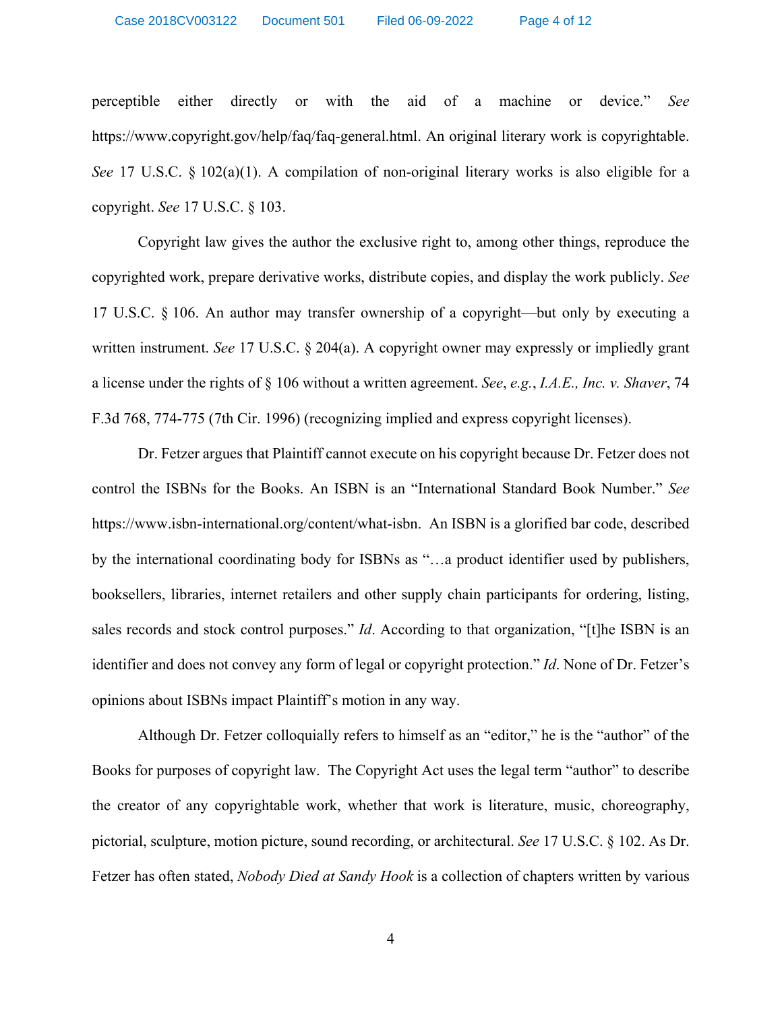perceptible either directly or with the aid of a machine or device." *See* https://www.copyright.gov/help/faq/faq-general.html. An original literary work is copyrightable. *See* 17 U.S.C. § 102(a)(1). A compilation of non-original literary works is also eligible for a copyright. *See* 17 U.S.C. § 103.

Copyright law gives the author the exclusive right to, among other things, reproduce the copyrighted work, prepare derivative works, distribute copies, and display the work publicly. *See* 17 U.S.C. § 106. An author may transfer ownership of a copyright—but only by executing a written instrument. *See* 17 U.S.C. § 204(a). A copyright owner may expressly or impliedly grant a license under the rights of § 106 without a written agreement. *See*, *e.g.*, *I.A.E., Inc. v. Shaver*, 74 F.3d 768, 774-775 (7th Cir. 1996) (recognizing implied and express copyright licenses).

Dr. Fetzer argues that Plaintiff cannot execute on his copyright because Dr. Fetzer does not control the ISBNs for the Books. An ISBN is an "International Standard Book Number." *See* https://www.isbn-international.org/content/what-isbn. An ISBN is a glorified bar code, described by the international coordinating body for ISBNs as "…a product identifier used by publishers, booksellers, libraries, internet retailers and other supply chain participants for ordering, listing, sales records and stock control purposes." *Id*. According to that organization, "[t]he ISBN is an identifier and does not convey any form of legal or copyright protection." *Id*. None of Dr. Fetzer's opinions about ISBNs impact Plaintiff's motion in any way.

Although Dr. Fetzer colloquially refers to himself as an "editor," he is the "author" of the Books for purposes of copyright law. The Copyright Act uses the legal term "author" to describe the creator of any copyrightable work, whether that work is literature, music, choreography, pictorial, sculpture, motion picture, sound recording, or architectural. *See* 17 U.S.C. § 102. As Dr. Fetzer has often stated, *Nobody Died at Sandy Hook* is a collection of chapters written by various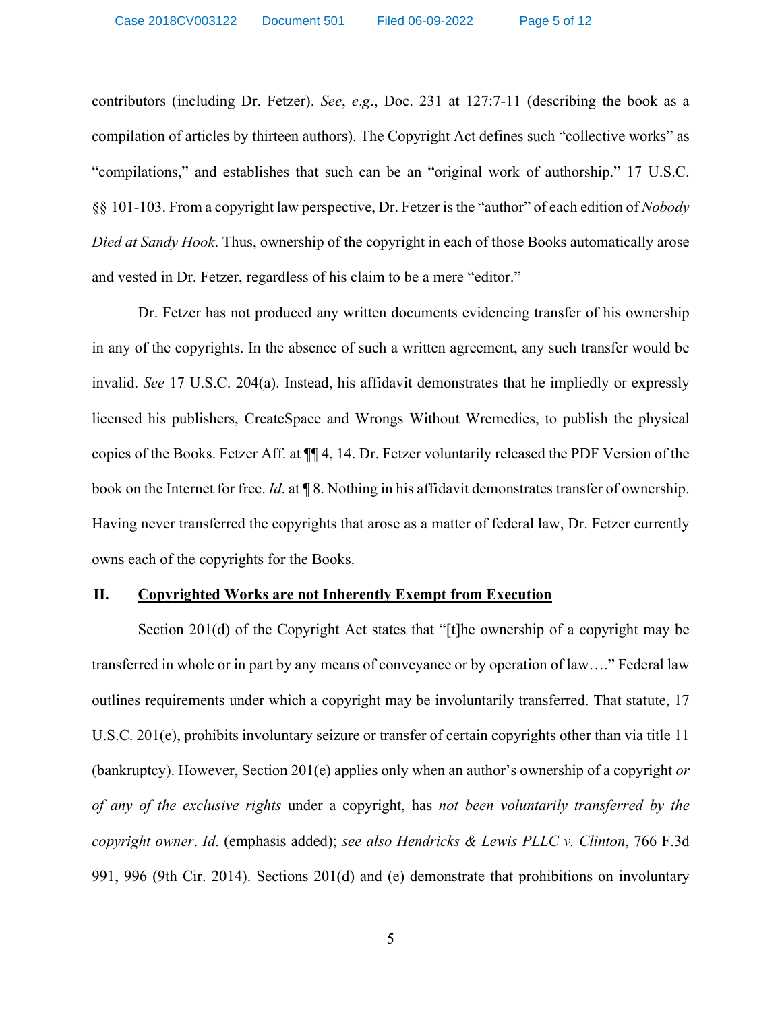contributors (including Dr. Fetzer). *See*, *e*.*g*., Doc. 231 at 127:7-11 (describing the book as a compilation of articles by thirteen authors). The Copyright Act defines such "collective works" as "compilations," and establishes that such can be an "original work of authorship." 17 U.S.C. §§ 101-103. From a copyright law perspective, Dr. Fetzer is the "author" of each edition of *Nobody Died at Sandy Hook*. Thus, ownership of the copyright in each of those Books automatically arose and vested in Dr. Fetzer, regardless of his claim to be a mere "editor."

Dr. Fetzer has not produced any written documents evidencing transfer of his ownership in any of the copyrights. In the absence of such a written agreement, any such transfer would be invalid. *See* 17 U.S.C. 204(a). Instead, his affidavit demonstrates that he impliedly or expressly licensed his publishers, CreateSpace and Wrongs Without Wremedies, to publish the physical copies of the Books. Fetzer Aff. at ¶¶ 4, 14. Dr. Fetzer voluntarily released the PDF Version of the book on the Internet for free. *Id*. at ¶ 8. Nothing in his affidavit demonstrates transfer of ownership. Having never transferred the copyrights that arose as a matter of federal law, Dr. Fetzer currently owns each of the copyrights for the Books.

## **II. Copyrighted Works are not Inherently Exempt from Execution**

Section 201(d) of the Copyright Act states that "[t]he ownership of a copyright may be transferred in whole or in part by any means of conveyance or by operation of law…." Federal law outlines requirements under which a copyright may be involuntarily transferred. That statute, 17 U.S.C. 201(e), prohibits involuntary seizure or transfer of certain copyrights other than via title 11 (bankruptcy). However, Section 201(e) applies only when an author's ownership of a copyright *or of any of the exclusive rights* under a copyright, has *not been voluntarily transferred by the copyright owner*. *Id*. (emphasis added); *see also Hendricks & Lewis PLLC v. Clinton*, 766 F.3d 991, 996 (9th Cir. 2014). Sections 201(d) and (e) demonstrate that prohibitions on involuntary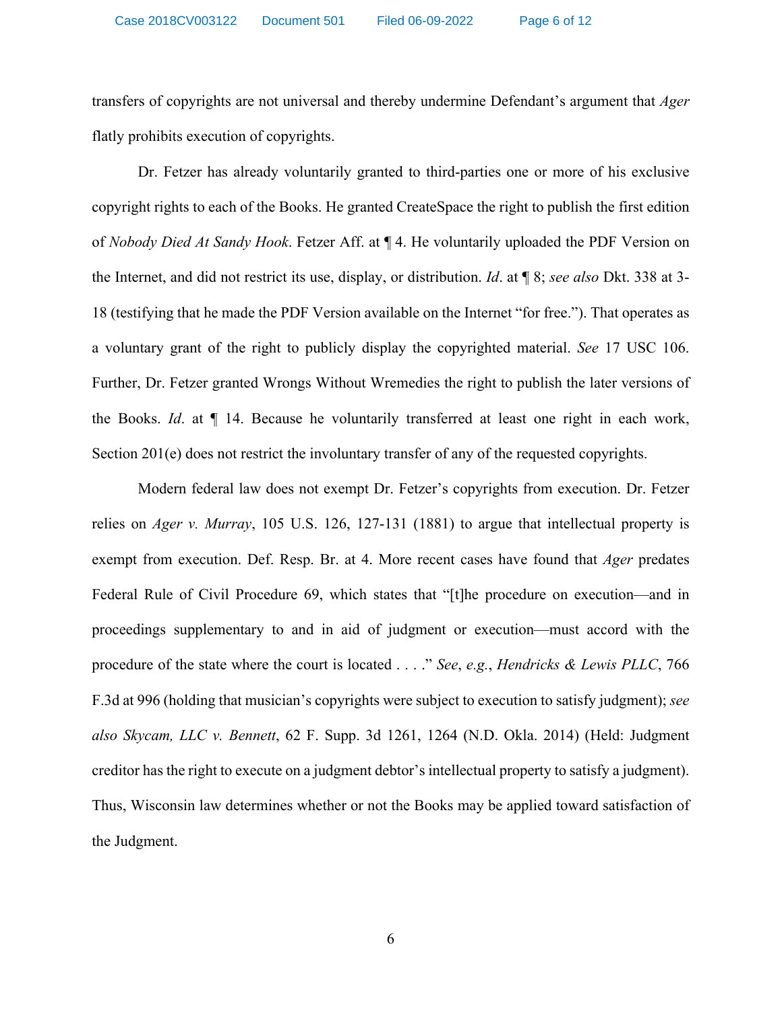transfers of copyrights are not universal and thereby undermine Defendant's argument that *Ager* flatly prohibits execution of copyrights.

Dr. Fetzer has already voluntarily granted to third-parties one or more of his exclusive copyright rights to each of the Books. He granted CreateSpace the right to publish the first edition of *Nobody Died At Sandy Hook*. Fetzer Aff. at ¶ 4. He voluntarily uploaded the PDF Version on the Internet, and did not restrict its use, display, or distribution. *Id*. at ¶ 8; *see also* Dkt. 338 at 3- 18 (testifying that he made the PDF Version available on the Internet "for free."). That operates as a voluntary grant of the right to publicly display the copyrighted material. *See* 17 USC 106. Further, Dr. Fetzer granted Wrongs Without Wremedies the right to publish the later versions of the Books. *Id*. at ¶ 14. Because he voluntarily transferred at least one right in each work, Section 201(e) does not restrict the involuntary transfer of any of the requested copyrights.

Modern federal law does not exempt Dr. Fetzer's copyrights from execution. Dr. Fetzer relies on *Ager v. Murray*, 105 U.S. 126, 127-131 (1881) to argue that intellectual property is exempt from execution. Def. Resp. Br. at 4. More recent cases have found that *Ager* predates Federal Rule of Civil Procedure 69, which states that "[t]he procedure on execution—and in proceedings supplementary to and in aid of judgment or execution—must accord with the procedure of the state where the court is located . . . ." *See*, *e.g.*, *Hendricks & Lewis PLLC*, 766 F.3d at 996 (holding that musician's copyrights were subject to execution to satisfy judgment); *see also Skycam, LLC v. Bennett*, 62 F. Supp. 3d 1261, 1264 (N.D. Okla. 2014) (Held: Judgment creditor has the right to execute on a judgment debtor's intellectual property to satisfy a judgment). Thus, Wisconsin law determines whether or not the Books may be applied toward satisfaction of the Judgment.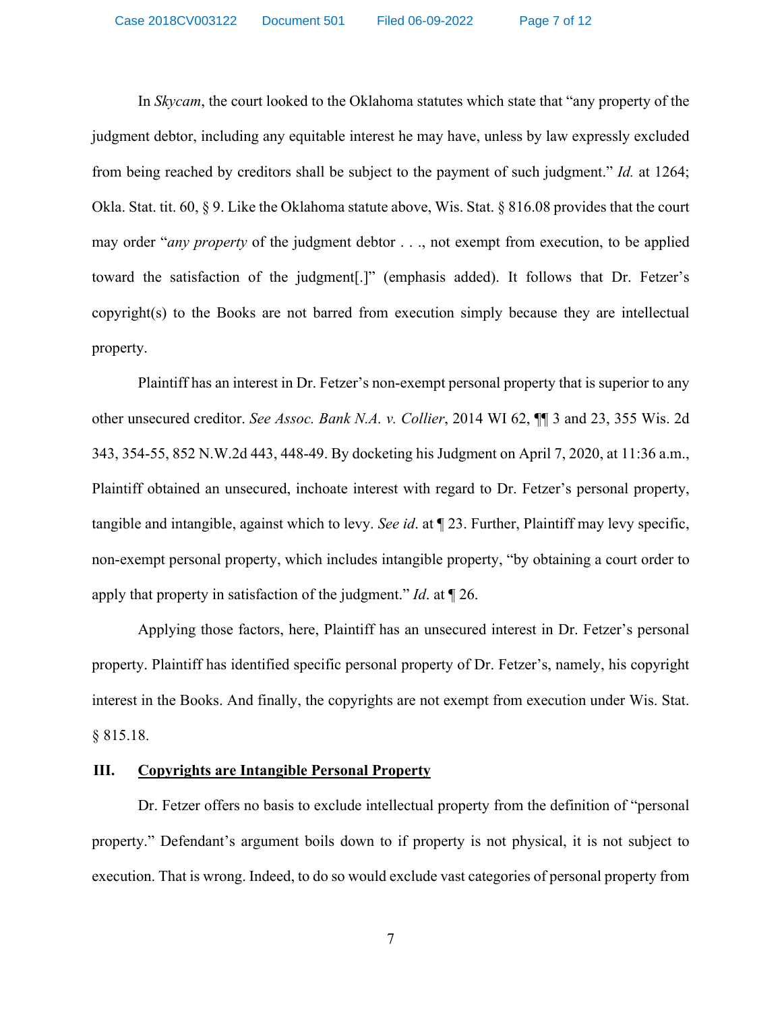In *Skycam*, the court looked to the Oklahoma statutes which state that "any property of the judgment debtor, including any equitable interest he may have, unless by law expressly excluded from being reached by creditors shall be subject to the payment of such judgment." *Id.* at 1264; Okla. Stat. tit. 60, § 9. Like the Oklahoma statute above, Wis. Stat. § 816.08 provides that the court may order "*any property* of the judgment debtor . . ., not exempt from execution, to be applied toward the satisfaction of the judgment[.]" (emphasis added). It follows that Dr. Fetzer's copyright(s) to the Books are not barred from execution simply because they are intellectual property.

Plaintiff has an interest in Dr. Fetzer's non-exempt personal property that is superior to any other unsecured creditor. *See Assoc. Bank N.A. v. Collier*, 2014 WI 62, ¶¶ 3 and 23, 355 Wis. 2d 343, 354-55, 852 N.W.2d 443, 448-49. By docketing his Judgment on April 7, 2020, at 11:36 a.m., Plaintiff obtained an unsecured, inchoate interest with regard to Dr. Fetzer's personal property, tangible and intangible, against which to levy. *See id*. at ¶ 23. Further, Plaintiff may levy specific, non-exempt personal property, which includes intangible property, "by obtaining a court order to apply that property in satisfaction of the judgment." *Id*. at ¶ 26.

Applying those factors, here, Plaintiff has an unsecured interest in Dr. Fetzer's personal property. Plaintiff has identified specific personal property of Dr. Fetzer's, namely, his copyright interest in the Books. And finally, the copyrights are not exempt from execution under Wis. Stat. § 815.18.

## **III. Copyrights are Intangible Personal Property**

Dr. Fetzer offers no basis to exclude intellectual property from the definition of "personal property." Defendant's argument boils down to if property is not physical, it is not subject to execution. That is wrong. Indeed, to do so would exclude vast categories of personal property from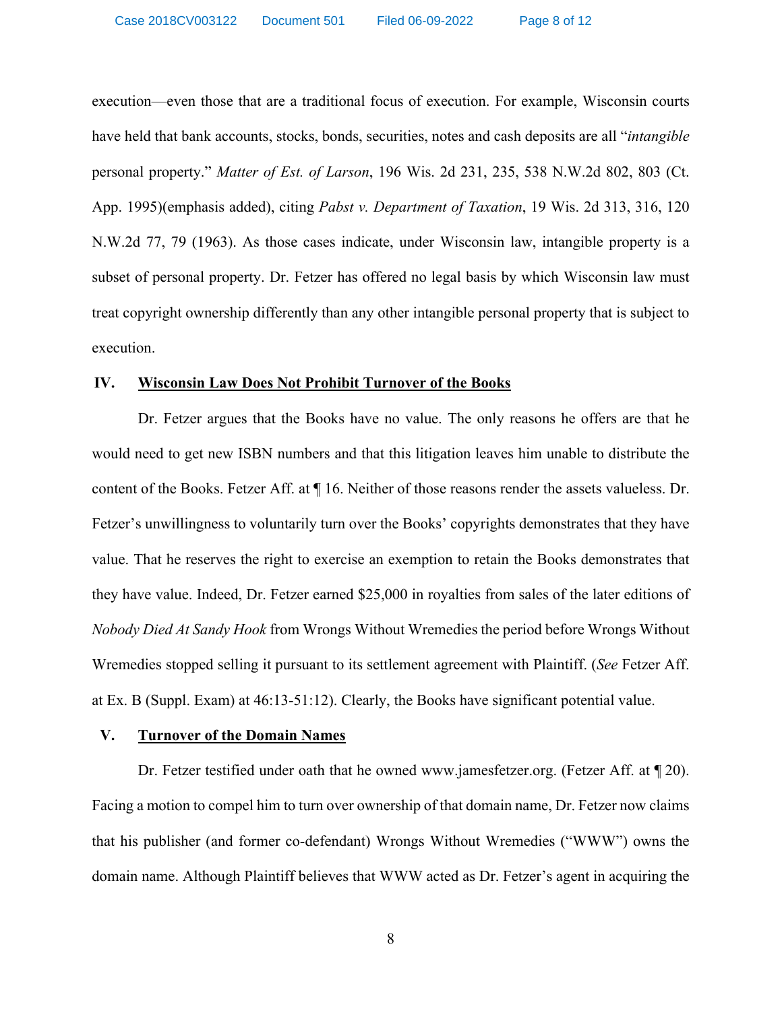execution—even those that are a traditional focus of execution. For example, Wisconsin courts have held that bank accounts, stocks, bonds, securities, notes and cash deposits are all "*intangible* personal property." *Matter of Est. of Larson*, 196 Wis. 2d 231, 235, 538 N.W.2d 802, 803 (Ct. App. 1995)(emphasis added), citing *Pabst v. Department of Taxation*, 19 Wis. 2d 313, 316, 120 N.W.2d 77, 79 (1963). As those cases indicate, under Wisconsin law, intangible property is a subset of personal property. Dr. Fetzer has offered no legal basis by which Wisconsin law must treat copyright ownership differently than any other intangible personal property that is subject to execution.

#### **IV. Wisconsin Law Does Not Prohibit Turnover of the Books**

Dr. Fetzer argues that the Books have no value. The only reasons he offers are that he would need to get new ISBN numbers and that this litigation leaves him unable to distribute the content of the Books. Fetzer Aff. at ¶ 16. Neither of those reasons render the assets valueless. Dr. Fetzer's unwillingness to voluntarily turn over the Books' copyrights demonstrates that they have value. That he reserves the right to exercise an exemption to retain the Books demonstrates that they have value. Indeed, Dr. Fetzer earned \$25,000 in royalties from sales of the later editions of *Nobody Died At Sandy Hook* from Wrongs Without Wremedies the period before Wrongs Without Wremedies stopped selling it pursuant to its settlement agreement with Plaintiff. (*See* Fetzer Aff. at Ex. B (Suppl. Exam) at 46:13-51:12). Clearly, the Books have significant potential value.

#### **V. Turnover of the Domain Names**

Dr. Fetzer testified under oath that he owned www.jamesfetzer.org. (Fetzer Aff. at ¶ 20). Facing a motion to compel him to turn over ownership of that domain name, Dr. Fetzer now claims that his publisher (and former co-defendant) Wrongs Without Wremedies ("WWW") owns the domain name. Although Plaintiff believes that WWW acted as Dr. Fetzer's agent in acquiring the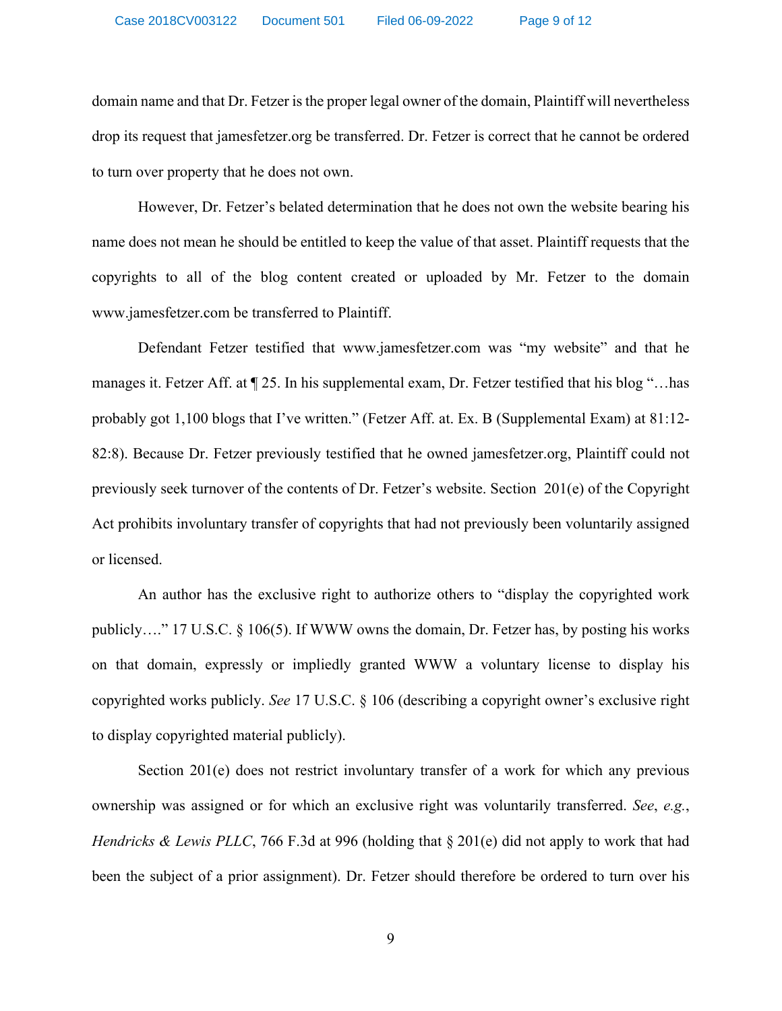domain name and that Dr. Fetzer is the proper legal owner of the domain, Plaintiff will nevertheless drop its request that jamesfetzer.org be transferred. Dr. Fetzer is correct that he cannot be ordered to turn over property that he does not own.

However, Dr. Fetzer's belated determination that he does not own the website bearing his name does not mean he should be entitled to keep the value of that asset. Plaintiff requests that the copyrights to all of the blog content created or uploaded by Mr. Fetzer to the domain www.jamesfetzer.com be transferred to Plaintiff.

Defendant Fetzer testified that www.jamesfetzer.com was "my website" and that he manages it. Fetzer Aff. at ¶ 25. In his supplemental exam, Dr. Fetzer testified that his blog "…has probably got 1,100 blogs that I've written." (Fetzer Aff. at. Ex. B (Supplemental Exam) at 81:12- 82:8). Because Dr. Fetzer previously testified that he owned jamesfetzer.org, Plaintiff could not previously seek turnover of the contents of Dr. Fetzer's website. Section 201(e) of the Copyright Act prohibits involuntary transfer of copyrights that had not previously been voluntarily assigned or licensed.

An author has the exclusive right to authorize others to "display the copyrighted work publicly…." 17 U.S.C. § 106(5). If WWW owns the domain, Dr. Fetzer has, by posting his works on that domain, expressly or impliedly granted WWW a voluntary license to display his copyrighted works publicly. *See* 17 U.S.C. § 106 (describing a copyright owner's exclusive right to display copyrighted material publicly).

Section 201(e) does not restrict involuntary transfer of a work for which any previous ownership was assigned or for which an exclusive right was voluntarily transferred. *See*, *e.g.*, *Hendricks & Lewis PLLC*, 766 F.3d at 996 (holding that § 201(e) did not apply to work that had been the subject of a prior assignment). Dr. Fetzer should therefore be ordered to turn over his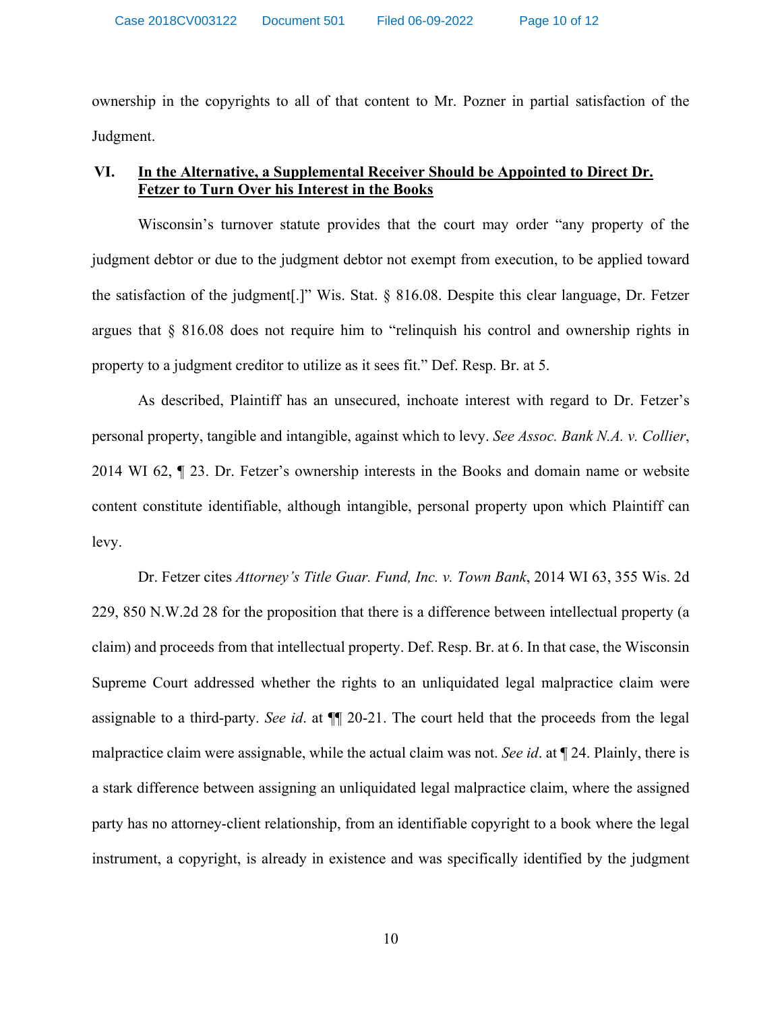ownership in the copyrights to all of that content to Mr. Pozner in partial satisfaction of the Judgment.

# **VI. In the Alternative, a Supplemental Receiver Should be Appointed to Direct Dr. Fetzer to Turn Over his Interest in the Books**

Wisconsin's turnover statute provides that the court may order "any property of the judgment debtor or due to the judgment debtor not exempt from execution, to be applied toward the satisfaction of the judgment[.]" Wis. Stat. § 816.08. Despite this clear language, Dr. Fetzer argues that § 816.08 does not require him to "relinquish his control and ownership rights in property to a judgment creditor to utilize as it sees fit." Def. Resp. Br. at 5.

As described, Plaintiff has an unsecured, inchoate interest with regard to Dr. Fetzer's personal property, tangible and intangible, against which to levy. *See Assoc. Bank N.A. v. Collier*, 2014 WI 62, ¶ 23. Dr. Fetzer's ownership interests in the Books and domain name or website content constitute identifiable, although intangible, personal property upon which Plaintiff can levy.

Dr. Fetzer cites *Attorney's Title Guar. Fund, Inc. v. Town Bank*, 2014 WI 63, 355 Wis. 2d 229, 850 N.W.2d 28 for the proposition that there is a difference between intellectual property (a claim) and proceeds from that intellectual property. Def. Resp. Br. at 6. In that case, the Wisconsin Supreme Court addressed whether the rights to an unliquidated legal malpractice claim were assignable to a third-party. *See id*. at ¶¶ 20-21. The court held that the proceeds from the legal malpractice claim were assignable, while the actual claim was not. *See id*. at ¶ 24. Plainly, there is a stark difference between assigning an unliquidated legal malpractice claim, where the assigned party has no attorney-client relationship, from an identifiable copyright to a book where the legal instrument, a copyright, is already in existence and was specifically identified by the judgment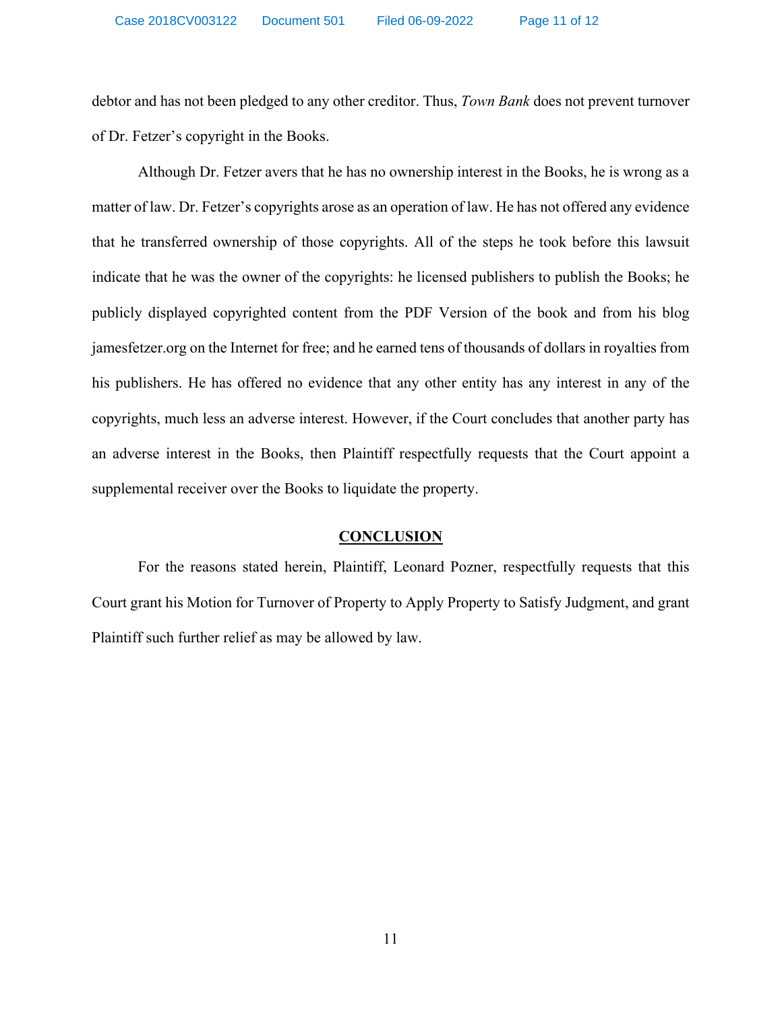debtor and has not been pledged to any other creditor. Thus, *Town Bank* does not prevent turnover of Dr. Fetzer's copyright in the Books.

Although Dr. Fetzer avers that he has no ownership interest in the Books, he is wrong as a matter of law. Dr. Fetzer's copyrights arose as an operation of law. He has not offered any evidence that he transferred ownership of those copyrights. All of the steps he took before this lawsuit indicate that he was the owner of the copyrights: he licensed publishers to publish the Books; he publicly displayed copyrighted content from the PDF Version of the book and from his blog jamesfetzer.org on the Internet for free; and he earned tens of thousands of dollars in royalties from his publishers. He has offered no evidence that any other entity has any interest in any of the copyrights, much less an adverse interest. However, if the Court concludes that another party has an adverse interest in the Books, then Plaintiff respectfully requests that the Court appoint a supplemental receiver over the Books to liquidate the property.

## **CONCLUSION**

 For the reasons stated herein, Plaintiff, Leonard Pozner, respectfully requests that this Court grant his Motion for Turnover of Property to Apply Property to Satisfy Judgment, and grant Plaintiff such further relief as may be allowed by law.